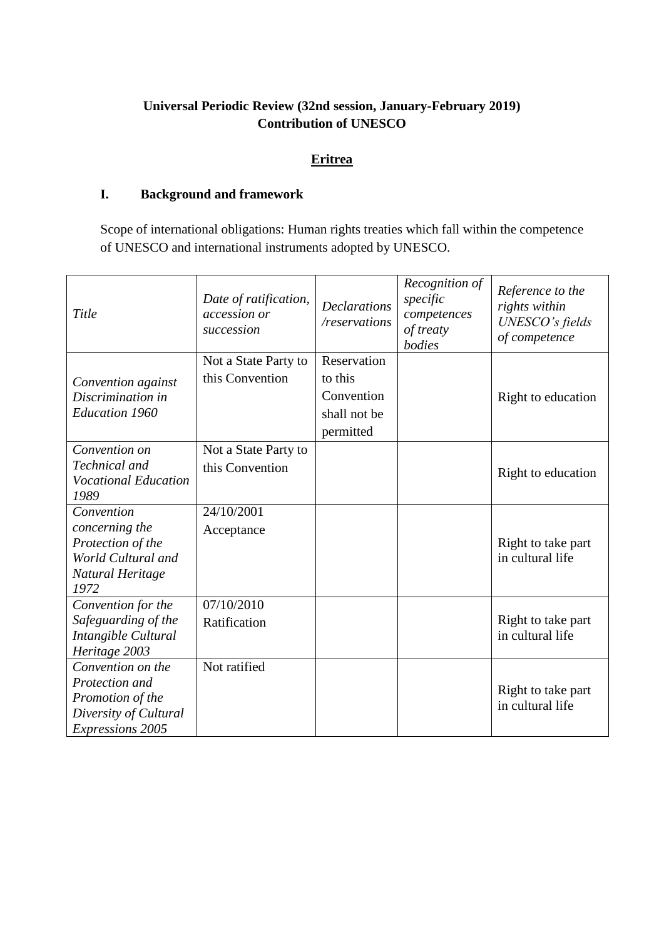# **Universal Periodic Review (32nd session, January-February 2019) Contribution of UNESCO**

# **Eritrea**

# **I. Background and framework**

Scope of international obligations: Human rights treaties which fall within the competence of UNESCO and international instruments adopted by UNESCO.

| Title                                                                                                       | Date of ratification,<br>accession or<br>succession | <b>Declarations</b><br>/reservations                              | Recognition of<br>specific<br>competences<br>of treaty<br>bodies | Reference to the<br>rights within<br>UNESCO's fields<br>of competence |
|-------------------------------------------------------------------------------------------------------------|-----------------------------------------------------|-------------------------------------------------------------------|------------------------------------------------------------------|-----------------------------------------------------------------------|
| Convention against<br>Discrimination in<br><b>Education 1960</b>                                            | Not a State Party to<br>this Convention             | Reservation<br>to this<br>Convention<br>shall not be<br>permitted |                                                                  | Right to education                                                    |
| Convention on<br>Technical and<br><b>Vocational Education</b><br>1989                                       | Not a State Party to<br>this Convention             |                                                                   |                                                                  | Right to education                                                    |
| Convention<br>concerning the<br>Protection of the<br>World Cultural and<br>Natural Heritage<br>1972         | 24/10/2001<br>Acceptance                            |                                                                   |                                                                  | Right to take part<br>in cultural life                                |
| Convention for the<br>Safeguarding of the<br>Intangible Cultural<br>Heritage 2003                           | 07/10/2010<br>Ratification                          |                                                                   |                                                                  | Right to take part<br>in cultural life                                |
| Convention on the<br>Protection and<br>Promotion of the<br>Diversity of Cultural<br><b>Expressions 2005</b> | Not ratified                                        |                                                                   |                                                                  | Right to take part<br>in cultural life                                |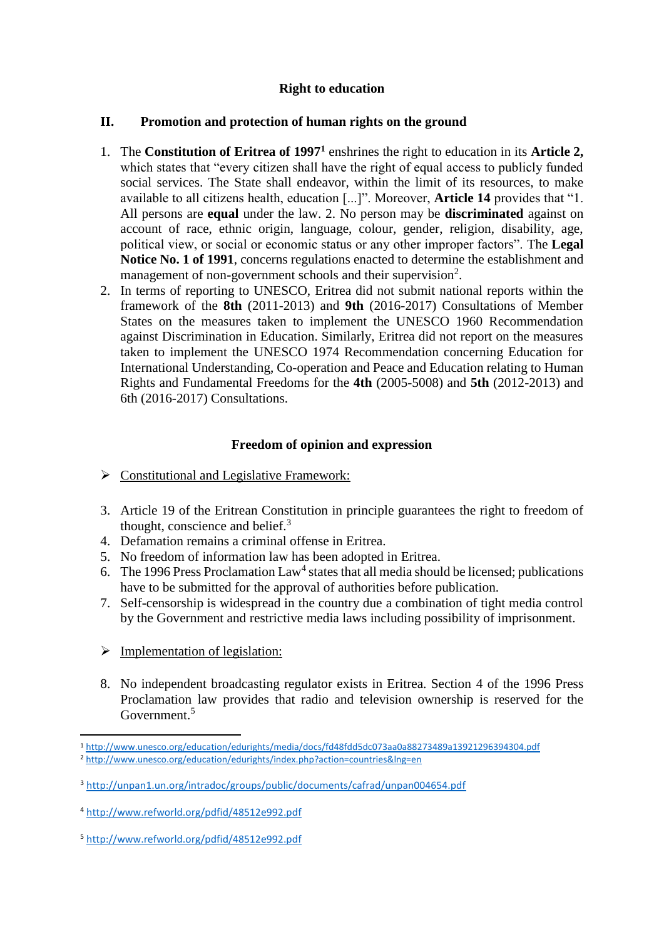# **Right to education**

### **II. Promotion and protection of human rights on the ground**

- 1. The **Constitution of Eritrea of 1997<sup>1</sup>** enshrines the right to education in its **Article 2,** which states that "every citizen shall have the right of equal access to publicly funded social services. The State shall endeavor, within the limit of its resources, to make available to all citizens health, education [...]". Moreover, **Article 14** provides that "1. All persons are **equal** under the law. 2. No person may be **discriminated** against on account of race, ethnic origin, language, colour, gender, religion, disability, age, political view, or social or economic status or any other improper factors". The **Legal Notice No. 1 of 1991**, concerns regulations enacted to determine the establishment and management of non-government schools and their supervision<sup>2</sup>.
- 2. In terms of reporting to UNESCO, Eritrea did not submit national reports within the framework of the **8th** (2011-2013) and **9th** (2016-2017) Consultations of Member States on the measures taken to implement the UNESCO 1960 Recommendation against Discrimination in Education. Similarly, Eritrea did not report on the measures taken to implement the UNESCO 1974 Recommendation concerning Education for International Understanding, Co-operation and Peace and Education relating to Human Rights and Fundamental Freedoms for the **4th** (2005-5008) and **5th** (2012-2013) and 6th (2016-2017) Consultations.

### **Freedom of opinion and expression**

- $\triangleright$  Constitutional and Legislative Framework:
- 3. Article 19 of the Eritrean Constitution in principle guarantees the right to freedom of thought, conscience and belief. $3$
- 4. Defamation remains a criminal offense in Eritrea.
- 5. No freedom of information law has been adopted in Eritrea.
- 6. The 1996 Press Proclamation Law<sup>4</sup> states that all media should be licensed; publications have to be submitted for the approval of authorities before publication.
- 7. Self-censorship is widespread in the country due a combination of tight media control by the Government and restrictive media laws including possibility of imprisonment.
- $\triangleright$  Implementation of legislation:
- 8. No independent broadcasting regulator exists in Eritrea. Section 4 of the 1996 Press Proclamation law provides that radio and television ownership is reserved for the Government.<sup>5</sup>

**<sup>.</sup>** <sup>1</sup> <http://www.unesco.org/education/edurights/media/docs/fd48fdd5dc073aa0a88273489a13921296394304.pdf> <sup>2</sup> <http://www.unesco.org/education/edurights/index.php?action=countries&lng=en>

<sup>3</sup> <http://unpan1.un.org/intradoc/groups/public/documents/cafrad/unpan004654.pdf>

<sup>4</sup> <http://www.refworld.org/pdfid/48512e992.pdf>

<sup>5</sup> <http://www.refworld.org/pdfid/48512e992.pdf>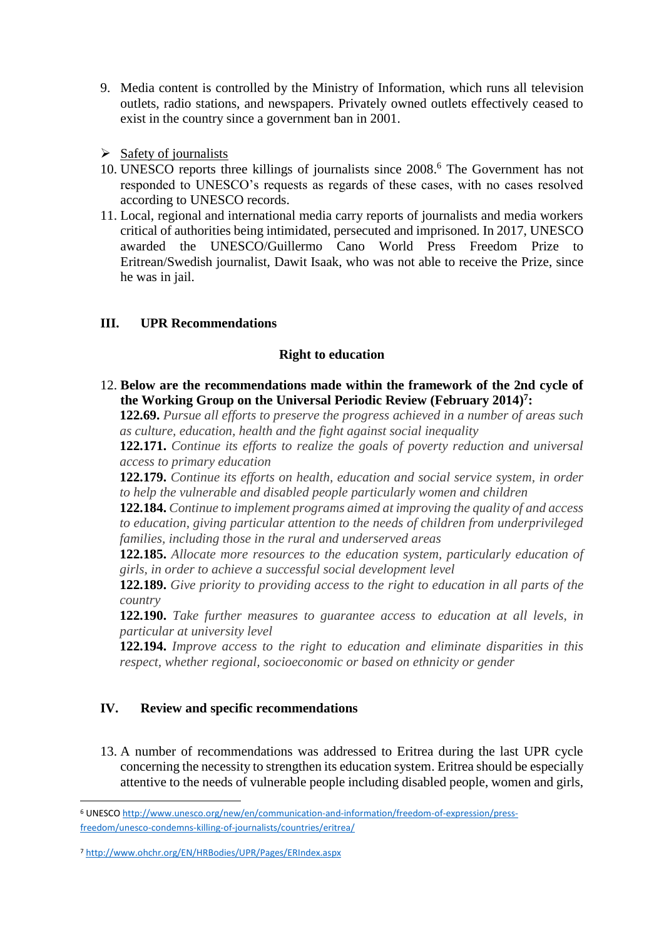- 9. Media content is controlled by the Ministry of Information, which runs all television outlets, radio stations, and newspapers. Privately owned outlets effectively ceased to exist in the country since a government ban in 2001.
- $\triangleright$  Safety of journalists
- 10. UNESCO reports three killings of journalists since 2008. <sup>6</sup> The Government has not responded to UNESCO's requests as regards of these cases, with no cases resolved according to UNESCO records.
- 11. Local, regional and international media carry reports of journalists and media workers critical of authorities being intimidated, persecuted and imprisoned. In 2017, UNESCO awarded the UNESCO/Guillermo Cano World Press Freedom Prize to Eritrean/Swedish journalist, Dawit Isaak, who was not able to receive the Prize, since he was in jail.

# **III. UPR Recommendations**

### **Right to education**

12. **Below are the recommendations made within the framework of the 2nd cycle of the Working Group on the Universal Periodic Review (February 2014) 7 :**

**122.69.** *Pursue all efforts to preserve the progress achieved in a number of areas such as culture, education, health and the fight against social inequality*

**122.171.** *Continue its efforts to realize the goals of poverty reduction and universal access to primary education*

**122.179.** *Continue its efforts on health, education and social service system, in order to help the vulnerable and disabled people particularly women and children*

**122.184.** *Continue to implement programs aimed at improving the quality of and access to education, giving particular attention to the needs of children from underprivileged families, including those in the rural and underserved areas*

**122.185.** *Allocate more resources to the education system, particularly education of girls, in order to achieve a successful social development level*

**122.189.** *Give priority to providing access to the right to education in all parts of the country*

**122.190.** *Take further measures to guarantee access to education at all levels, in particular at university level*

**122.194.** *Improve access to the right to education and eliminate disparities in this respect, whether regional, socioeconomic or based on ethnicity or gender*

# **IV. Review and specific recommendations**

13. A number of recommendations was addressed to Eritrea during the last UPR cycle concerning the necessity to strengthen its education system. Eritrea should be especially attentive to the needs of vulnerable people including disabled people, women and girls,

1

<sup>6</sup> UNESCO [http://www.unesco.org/new/en/communication-and-information/freedom-of-expression/press](http://www.unesco.org/new/en/communication-and-information/freedom-of-expression/press-freedom/unesco-condemns-killing-of-journalists/countries/eritrea/)[freedom/unesco-condemns-killing-of-journalists/countries/eritrea/](http://www.unesco.org/new/en/communication-and-information/freedom-of-expression/press-freedom/unesco-condemns-killing-of-journalists/countries/eritrea/)

<sup>7</sup> <http://www.ohchr.org/EN/HRBodies/UPR/Pages/ERIndex.aspx>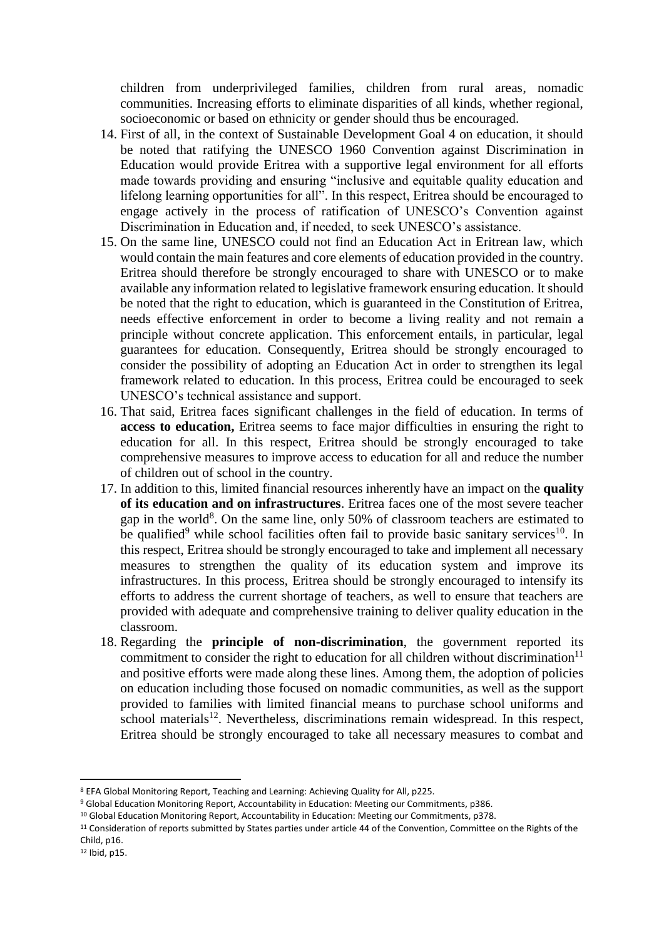children from underprivileged families, children from rural areas, nomadic communities. Increasing efforts to eliminate disparities of all kinds, whether regional, socioeconomic or based on ethnicity or gender should thus be encouraged.

- 14. First of all, in the context of Sustainable Development Goal 4 on education, it should be noted that ratifying the UNESCO 1960 Convention against Discrimination in Education would provide Eritrea with a supportive legal environment for all efforts made towards providing and ensuring "inclusive and equitable quality education and lifelong learning opportunities for all". In this respect, Eritrea should be encouraged to engage actively in the process of ratification of UNESCO's Convention against Discrimination in Education and, if needed, to seek UNESCO's assistance.
- 15. On the same line, UNESCO could not find an Education Act in Eritrean law, which would contain the main features and core elements of education provided in the country. Eritrea should therefore be strongly encouraged to share with UNESCO or to make available any information related to legislative framework ensuring education. It should be noted that the right to education, which is guaranteed in the Constitution of Eritrea, needs effective enforcement in order to become a living reality and not remain a principle without concrete application. This enforcement entails, in particular, legal guarantees for education. Consequently, Eritrea should be strongly encouraged to consider the possibility of adopting an Education Act in order to strengthen its legal framework related to education. In this process, Eritrea could be encouraged to seek UNESCO's technical assistance and support.
- 16. That said, Eritrea faces significant challenges in the field of education. In terms of **access to education,** Eritrea seems to face major difficulties in ensuring the right to education for all. In this respect, Eritrea should be strongly encouraged to take comprehensive measures to improve access to education for all and reduce the number of children out of school in the country.
- 17. In addition to this, limited financial resources inherently have an impact on the **quality of its education and on infrastructures**. Eritrea faces one of the most severe teacher gap in the world<sup>8</sup>. On the same line, only 50% of classroom teachers are estimated to be qualified<sup>9</sup> while school facilities often fail to provide basic sanitary services<sup>10</sup>. In this respect, Eritrea should be strongly encouraged to take and implement all necessary measures to strengthen the quality of its education system and improve its infrastructures. In this process, Eritrea should be strongly encouraged to intensify its efforts to address the current shortage of teachers, as well to ensure that teachers are provided with adequate and comprehensive training to deliver quality education in the classroom.
- 18. Regarding the **principle of non-discrimination**, the government reported its commitment to consider the right to education for all children without discrimination<sup>11</sup> and positive efforts were made along these lines. Among them, the adoption of policies on education including those focused on nomadic communities, as well as the support provided to families with limited financial means to purchase school uniforms and  $\frac{1}{2}$  school materials<sup>12</sup>. Nevertheless, discriminations remain widespread. In this respect, Eritrea should be strongly encouraged to take all necessary measures to combat and

**.** 

<sup>8</sup> EFA Global Monitoring Report, Teaching and Learning: Achieving Quality for All, p225.

<sup>9</sup> Global Education Monitoring Report, Accountability in Education: Meeting our Commitments, p386.

<sup>&</sup>lt;sup>10</sup> Global Education Monitoring Report, Accountability in Education: Meeting our Commitments, p378.

<sup>&</sup>lt;sup>11</sup> Consideration of reports submitted by States parties under article 44 of the Convention, Committee on the Rights of the Child, p16.

<sup>12</sup> Ibid, p15.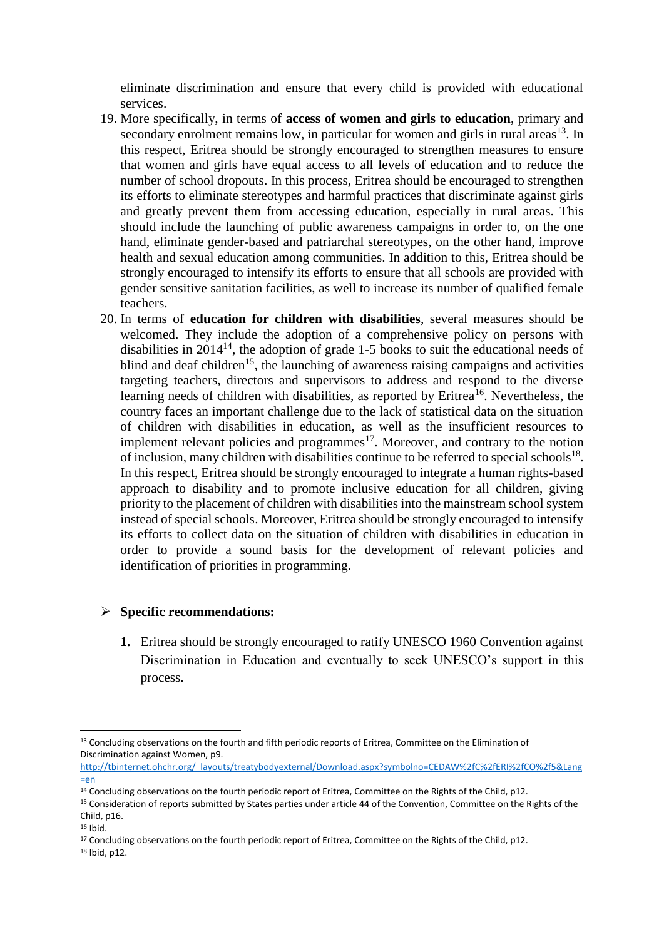eliminate discrimination and ensure that every child is provided with educational services.

- 19. More specifically, in terms of **access of women and girls to education**, primary and secondary enrolment remains low, in particular for women and girls in rural areas $^{13}$ . In this respect, Eritrea should be strongly encouraged to strengthen measures to ensure that women and girls have equal access to all levels of education and to reduce the number of school dropouts. In this process, Eritrea should be encouraged to strengthen its efforts to eliminate stereotypes and harmful practices that discriminate against girls and greatly prevent them from accessing education, especially in rural areas. This should include the launching of public awareness campaigns in order to, on the one hand, eliminate gender-based and patriarchal stereotypes, on the other hand, improve health and sexual education among communities. In addition to this, Eritrea should be strongly encouraged to intensify its efforts to ensure that all schools are provided with gender sensitive sanitation facilities, as well to increase its number of qualified female teachers.
- 20. In terms of **education for children with disabilities**, several measures should be welcomed. They include the adoption of a comprehensive policy on persons with disabilities in  $2014^{14}$ , the adoption of grade 1-5 books to suit the educational needs of blind and deaf children<sup>15</sup>, the launching of awareness raising campaigns and activities targeting teachers, directors and supervisors to address and respond to the diverse learning needs of children with disabilities, as reported by  $Eritrea<sup>16</sup>$ . Nevertheless, the country faces an important challenge due to the lack of statistical data on the situation of children with disabilities in education, as well as the insufficient resources to implement relevant policies and programmes<sup>17</sup>. Moreover, and contrary to the notion of inclusion, many children with disabilities continue to be referred to special schools<sup>18</sup>. In this respect, Eritrea should be strongly encouraged to integrate a human rights-based approach to disability and to promote inclusive education for all children, giving priority to the placement of children with disabilities into the mainstream school system instead of special schools. Moreover, Eritrea should be strongly encouraged to intensify its efforts to collect data on the situation of children with disabilities in education in order to provide a sound basis for the development of relevant policies and identification of priorities in programming.

#### **Specific recommendations:**

**1.** Eritrea should be strongly encouraged to ratify UNESCO 1960 Convention against Discrimination in Education and eventually to seek UNESCO's support in this process.

<sup>1</sup> <sup>13</sup> Concluding observations on the fourth and fifth periodic reports of Eritrea, Committee on the Elimination of Discrimination against Women, p9.

[http://tbinternet.ohchr.org/\\_layouts/treatybodyexternal/Download.aspx?symbolno=CEDAW%2fC%2fERI%2fCO%2f5&Lang](http://tbinternet.ohchr.org/_layouts/treatybodyexternal/Download.aspx?symbolno=CEDAW%2fC%2fERI%2fCO%2f5&Lang=en)  $=$ en

<sup>&</sup>lt;sup>14</sup> Concluding observations on the fourth periodic report of Eritrea, Committee on the Rights of the Child, p12.

<sup>&</sup>lt;sup>15</sup> Consideration of reports submitted by States parties under article 44 of the Convention. Committee on the Rights of the Child, p16.

<sup>16</sup> Ibid.

<sup>&</sup>lt;sup>17</sup> Concluding observations on the fourth periodic report of Eritrea, Committee on the Rights of the Child, p12.

<sup>18</sup> Ibid, p12.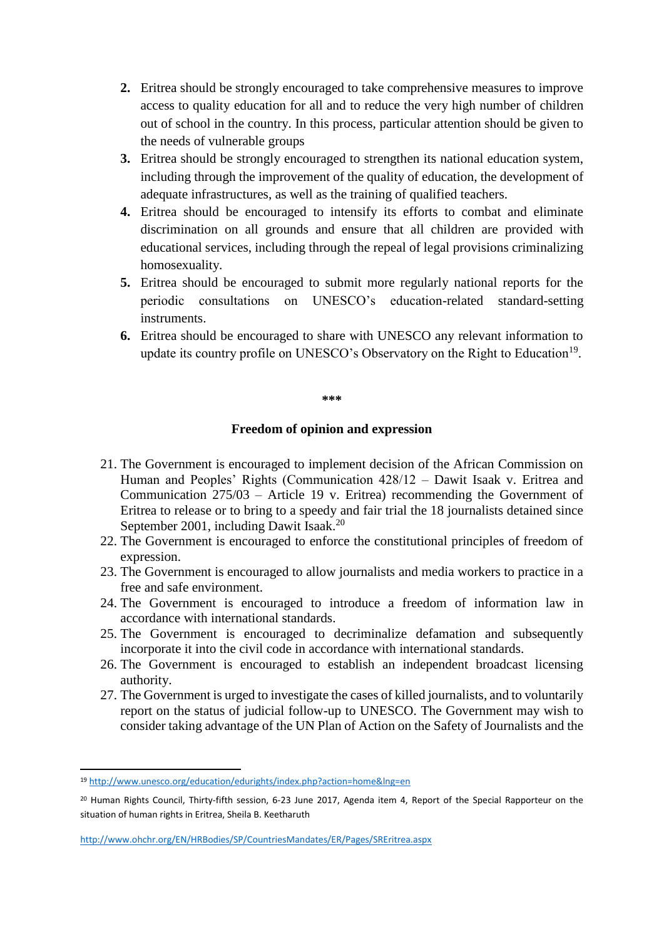- **2.** Eritrea should be strongly encouraged to take comprehensive measures to improve access to quality education for all and to reduce the very high number of children out of school in the country. In this process, particular attention should be given to the needs of vulnerable groups
- **3.** Eritrea should be strongly encouraged to strengthen its national education system, including through the improvement of the quality of education, the development of adequate infrastructures, as well as the training of qualified teachers.
- **4.** Eritrea should be encouraged to intensify its efforts to combat and eliminate discrimination on all grounds and ensure that all children are provided with educational services, including through the repeal of legal provisions criminalizing homosexuality.
- **5.** Eritrea should be encouraged to submit more regularly national reports for the periodic consultations on UNESCO's education-related standard-setting instruments.
- **6.** Eritrea should be encouraged to share with UNESCO any relevant information to update its country profile on UNESCO's Observatory on the Right to Education<sup>19</sup>.

#### **\*\*\***

#### **Freedom of opinion and expression**

- 21. The Government is encouraged to implement decision of the African Commission on Human and Peoples' Rights (Communication 428/12 – Dawit Isaak v. Eritrea and Communication 275/03 – Article 19 v. Eritrea) recommending the Government of Eritrea to release or to bring to a speedy and fair trial the 18 journalists detained since September 2001, including Dawit Isaak.<sup>20</sup>
- 22. The Government is encouraged to enforce the constitutional principles of freedom of expression.
- 23. The Government is encouraged to allow journalists and media workers to practice in a free and safe environment.
- 24. The Government is encouraged to introduce a freedom of information law in accordance with international standards.
- 25. The Government is encouraged to decriminalize defamation and subsequently incorporate it into the civil code in accordance with international standards.
- 26. The Government is encouraged to establish an independent broadcast licensing authority.
- 27. The Government is urged to investigate the cases of killed journalists, and to voluntarily report on the status of judicial follow-up to UNESCO. The Government may wish to consider taking advantage of the UN Plan of Action on the Safety of Journalists and the

**.** 

<sup>19</sup> <http://www.unesco.org/education/edurights/index.php?action=home&lng=en>

<sup>&</sup>lt;sup>20</sup> Human Rights Council, Thirty-fifth session, 6-23 June 2017, Agenda item 4, Report of the Special Rapporteur on the situation of human rights in Eritrea, Sheila B. Keetharuth

<http://www.ohchr.org/EN/HRBodies/SP/CountriesMandates/ER/Pages/SREritrea.aspx>